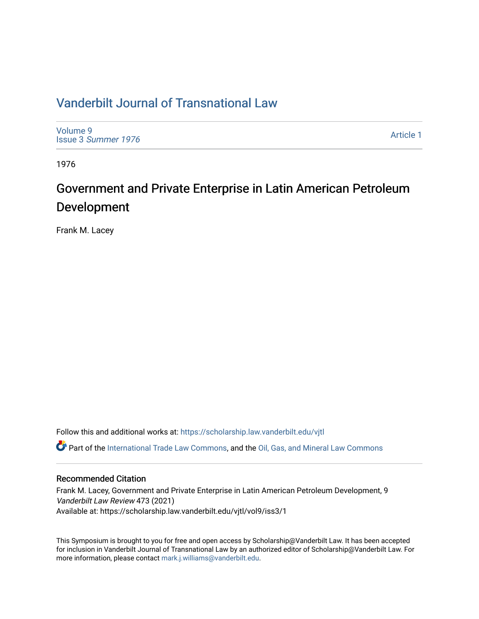### [Vanderbilt Journal of Transnational Law](https://scholarship.law.vanderbilt.edu/vjtl)

[Volume 9](https://scholarship.law.vanderbilt.edu/vjtl/vol9) Issue 3 [Summer 1976](https://scholarship.law.vanderbilt.edu/vjtl/vol9/iss3) 

[Article 1](https://scholarship.law.vanderbilt.edu/vjtl/vol9/iss3/1) 

1976

## Government and Private Enterprise in Latin American Petroleum Development

Frank M. Lacey

Follow this and additional works at: [https://scholarship.law.vanderbilt.edu/vjtl](https://scholarship.law.vanderbilt.edu/vjtl?utm_source=scholarship.law.vanderbilt.edu%2Fvjtl%2Fvol9%2Fiss3%2F1&utm_medium=PDF&utm_campaign=PDFCoverPages)  Part of the [International Trade Law Commons](https://network.bepress.com/hgg/discipline/848?utm_source=scholarship.law.vanderbilt.edu%2Fvjtl%2Fvol9%2Fiss3%2F1&utm_medium=PDF&utm_campaign=PDFCoverPages), and the [Oil, Gas, and Mineral Law Commons](https://network.bepress.com/hgg/discipline/864?utm_source=scholarship.law.vanderbilt.edu%2Fvjtl%2Fvol9%2Fiss3%2F1&utm_medium=PDF&utm_campaign=PDFCoverPages) 

### Recommended Citation

Frank M. Lacey, Government and Private Enterprise in Latin American Petroleum Development, 9 Vanderbilt Law Review 473 (2021) Available at: https://scholarship.law.vanderbilt.edu/vjtl/vol9/iss3/1

This Symposium is brought to you for free and open access by Scholarship@Vanderbilt Law. It has been accepted for inclusion in Vanderbilt Journal of Transnational Law by an authorized editor of Scholarship@Vanderbilt Law. For more information, please contact [mark.j.williams@vanderbilt.edu](mailto:mark.j.williams@vanderbilt.edu).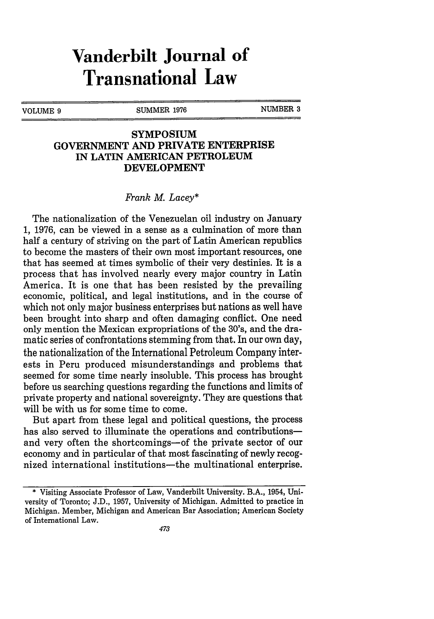# **Vanderbilt Journal of Transnational Law**

VOLUME 9 SUMMER 1976 NUMBER 3

### **SYMPOSIUM GOVERNMENT AND PRIVATE ENTERPRISE IN LATIN AMERICAN PETROLEUM DEVELOPMENT**

#### *Frank M. Lacey\**

The nationalization of the Venezuelan oil industry on January **1, 1976,** can be viewed in a sense as a culmination of more than half a century of striving on the part of Latin American republics to become the masters of their own most important resources, one that has seemed at times symbolic of their very destinies. It is a process that has involved nearly every major country in Latin America. It is one that has been resisted **by** the prevailing economic, political, and legal institutions, and in the course of which not only major business enterprises but nations as well have been brought into sharp and often damaging conflict. One need only mention the Mexican expropriations of the 30's, and the dramatic series of confrontations stemming from that. In our own day, the nationalization of the International Petroleum Company interests in Peru produced misunderstandings and problems that seemed for some time nearly insoluble. This process has brought before us searching questions regarding the functions and limits of private property and national sovereignty. They are questions that will be with us for some time to come.

But apart from these legal and political questions, the process has also served to illuminate the operations and contributionsand very often the shortcomings-of the private sector of our economy and in particular of that most fascinating of newly recognized international institutions-the multinational enterprise.

<sup>\*</sup> Visiting Associate Professor of Law, Vanderbilt University. B.A., 1954, University of Toronto; J.D., 1957, University of Michigan. Admitted to practice in Michigan. Member, Michigan and American Bar Association; American Society of International Law.